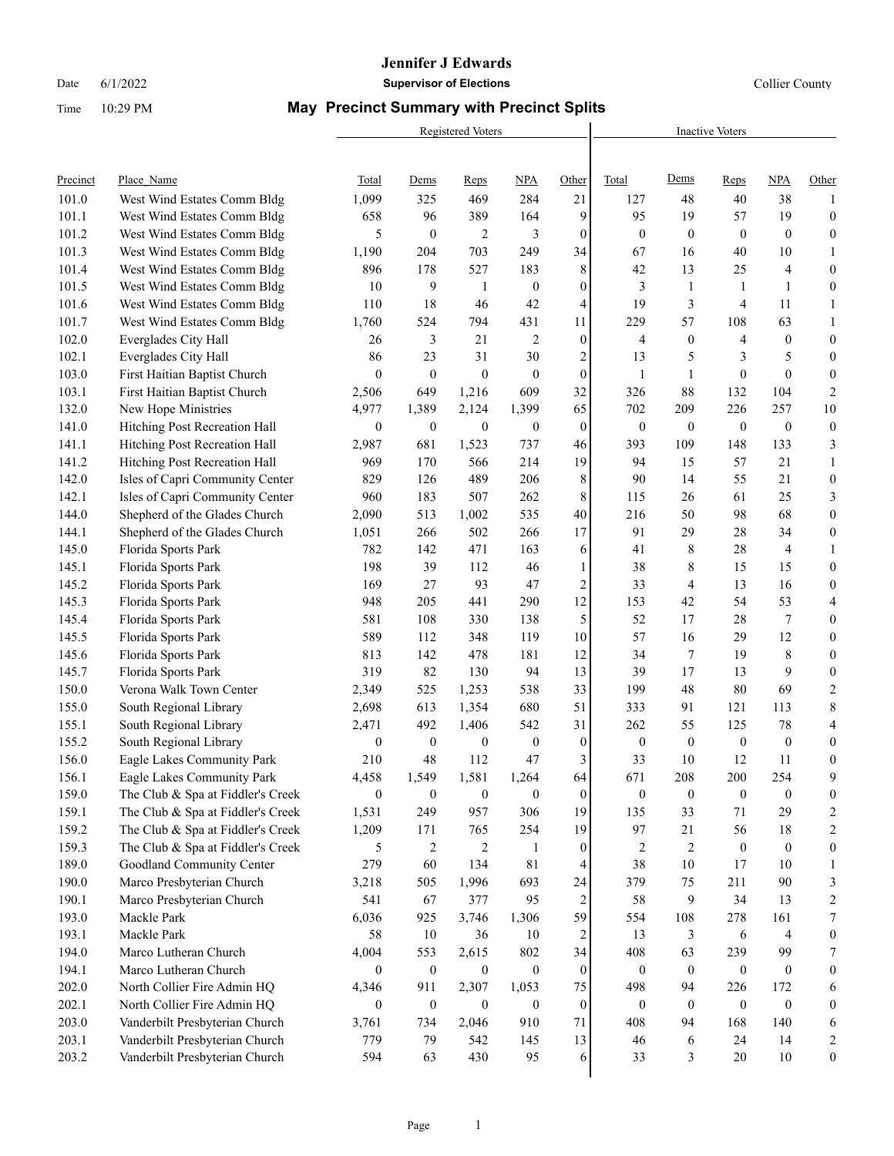#### **Jennifer J Edwards**

Date 6/1/2022 **Supervisor of Elections Supervisor of Elections** Collier County

# Time 10:29 PM **May Precinct Summary with Precinct Splits**

|          |                                   |                  | Registered Voters | <b>Inactive Voters</b> |                  |                  |                  |                  |                  |                  |                  |
|----------|-----------------------------------|------------------|-------------------|------------------------|------------------|------------------|------------------|------------------|------------------|------------------|------------------|
| Precinct | Place Name                        | <b>Total</b>     | Dems              | Reps                   | <b>NPA</b>       | Other            | Total            | Dems             | Reps             | <b>NPA</b>       | Other            |
| 101.0    | West Wind Estates Comm Bldg       | 1,099            | 325               | 469                    | 284              | 21               | 127              | 48               | 40               | 38               | 1                |
| 101.1    | West Wind Estates Comm Bldg       | 658              | 96                | 389                    | 164              | 9                | 95               | 19               | 57               | 19               | $\boldsymbol{0}$ |
| 101.2    | West Wind Estates Comm Bldg       | 5                | $\mathbf{0}$      | 2                      | 3                | $\boldsymbol{0}$ | $\overline{0}$   | $\boldsymbol{0}$ | $\mathbf{0}$     | $\mathbf{0}$     | $\boldsymbol{0}$ |
| 101.3    | West Wind Estates Comm Bldg       | 1,190            | 204               | 703                    | 249              | 34               | 67               | 16               | 40               | 10               | $\mathbf{1}$     |
| 101.4    | West Wind Estates Comm Bldg       | 896              | 178               | 527                    | 183              | 8                | 42               | 13               | 25               | 4                | $\boldsymbol{0}$ |
| 101.5    | West Wind Estates Comm Bldg       | 10               | 9                 | $\mathbf{1}$           | $\mathbf{0}$     | $\boldsymbol{0}$ | 3                | $\mathbf{1}$     | $\mathbf{1}$     | $\mathbf{1}$     | $\boldsymbol{0}$ |
| 101.6    | West Wind Estates Comm Bldg       | 110              | 18                | 46                     | 42               | 4                | 19               | 3                | 4                | 11               | $\mathbf{1}$     |
| 101.7    | West Wind Estates Comm Bldg       | 1,760            | 524               | 794                    | 431              | 11               | 229              | 57               | 108              | 63               | $\mathbf{1}$     |
| 102.0    | Everglades City Hall              | 26               | 3                 | 21                     | 2                | $\boldsymbol{0}$ | 4                | $\boldsymbol{0}$ | 4                | $\boldsymbol{0}$ | $\boldsymbol{0}$ |
| 102.1    | Everglades City Hall              | 86               | 23                | 31                     | 30               | $\overline{c}$   | 13               | 5                | 3                | 5                | $\boldsymbol{0}$ |
| 103.0    | First Haitian Baptist Church      | $\overline{0}$   | $\mathbf{0}$      | $\mathbf{0}$           | $\mathbf{0}$     | $\boldsymbol{0}$ | 1                | 1                | $\mathbf{0}$     | $\mathbf{0}$     | $\boldsymbol{0}$ |
| 103.1    | First Haitian Baptist Church      | 2,506            | 649               | 1,216                  | 609              | 32               | 326              | 88               | 132              | 104              | $\sqrt{2}$       |
| 132.0    | New Hope Ministries               | 4,977            | 1,389             | 2,124                  | 1,399            | 65               | 702              | 209              | 226              | 257              | $10\,$           |
| 141.0    | Hitching Post Recreation Hall     | $\boldsymbol{0}$ | $\boldsymbol{0}$  | $\boldsymbol{0}$       | $\mathbf{0}$     | $\boldsymbol{0}$ | $\overline{0}$   | $\boldsymbol{0}$ | $\mathbf{0}$     | $\boldsymbol{0}$ | $\boldsymbol{0}$ |
| 141.1    | Hitching Post Recreation Hall     | 2,987            | 681               | 1,523                  | 737              | 46               | 393              | 109              | 148              | 133              | 3                |
| 141.2    | Hitching Post Recreation Hall     | 969              | 170               | 566                    | 214              | 19               | 94               | 15               | 57               | 21               | $\mathbf{1}$     |
| 142.0    | Isles of Capri Community Center   | 829              | 126               | 489                    | 206              | 8                | 90               | 14               | 55               | 21               | $\boldsymbol{0}$ |
| 142.1    | Isles of Capri Community Center   | 960              | 183               | 507                    | 262              | 8                | 115              | 26               | 61               | 25               | $\mathfrak{Z}$   |
| 144.0    | Shepherd of the Glades Church     | 2,090            | 513               | 1,002                  | 535              | 40               | 216              | 50               | 98               | 68               | $\boldsymbol{0}$ |
| 144.1    | Shepherd of the Glades Church     | 1,051            | 266               | 502                    | 266              | $17\,$           | 91               | 29               | 28               | 34               | $\boldsymbol{0}$ |
| 145.0    | Florida Sports Park               | 782              | 142               | 471                    | 163              | 6                | 41               | 8                | 28               | 4                | $\mathbf{1}$     |
| 145.1    | Florida Sports Park               | 198              | 39                | 112                    | 46               | $\mathbf{1}$     | 38               | 8                | 15               | 15               | $\boldsymbol{0}$ |
| 145.2    | Florida Sports Park               | 169              | 27                | 93                     | 47               | $\overline{c}$   | 33               | 4                | 13               | 16               | $\boldsymbol{0}$ |
| 145.3    | Florida Sports Park               | 948              | 205               | 441                    | 290              | 12               | 153              | 42               | 54               | 53               | 4                |
| 145.4    | Florida Sports Park               | 581              | 108               | 330                    | 138              | 5                | 52               | 17               | 28               | 7                | $\boldsymbol{0}$ |
| 145.5    | Florida Sports Park               | 589              | 112               | 348                    | 119              | $10\,$           | 57               | 16               | 29               | 12               | $\boldsymbol{0}$ |
| 145.6    | Florida Sports Park               | 813              | 142               | 478                    | 181              | 12               | 34               | 7                | 19               | 8                | $\boldsymbol{0}$ |
| 145.7    | Florida Sports Park               | 319              | 82                | 130                    | 94               | 13               | 39               | 17               | 13               | 9                | $\boldsymbol{0}$ |
| 150.0    | Verona Walk Town Center           | 2,349            | 525               | 1,253                  | 538              | 33               | 199              | 48               | 80               | 69               | $\boldsymbol{2}$ |
| 155.0    | South Regional Library            | 2,698            | 613               | 1,354                  | 680              | 51               | 333              | 91               | 121              | 113              | $\,$ $\,$        |
| 155.1    | South Regional Library            | 2,471            | 492               | 1,406                  | 542              | 31               | 262              | 55               | 125              | 78               | 4                |
| 155.2    | South Regional Library            | $\boldsymbol{0}$ | $\boldsymbol{0}$  | $\boldsymbol{0}$       | $\mathbf{0}$     | $\boldsymbol{0}$ | $\overline{0}$   | $\boldsymbol{0}$ | $\mathbf{0}$     | $\boldsymbol{0}$ | $\boldsymbol{0}$ |
| 156.0    | Eagle Lakes Community Park        | 210              | 48                | 112                    | 47               | 3                | 33               | 10               | 12               | 11               | $\boldsymbol{0}$ |
| 156.1    | Eagle Lakes Community Park        | 4,458            | 1,549             | 1,581                  | 1,264            | 64               | 671              | 208              | 200              | 254              | 9                |
| 159.0    | The Club & Spa at Fiddler's Creek | $\boldsymbol{0}$ | $\boldsymbol{0}$  | $\boldsymbol{0}$       | $\boldsymbol{0}$ | $\boldsymbol{0}$ | $\mathbf{0}$     | $\boldsymbol{0}$ | $\boldsymbol{0}$ | $\boldsymbol{0}$ | 0                |
| 159.1    | The Club & Spa at Fiddler's Creek | 1,531            | 249               | 957                    | 306              | 19               | 135              | 33               | 71               | 29               | 2                |
| 159.2    | The Club & Spa at Fiddler's Creek | 1,209            | 171               | 765                    | 254              | 19               | 97               | 21               | 56               | 18               | $\overline{c}$   |
| 159.3    | The Club & Spa at Fiddler's Creek | 5                | 2                 | 2                      | 1                | $\boldsymbol{0}$ | 2                | $\overline{2}$   | $\mathbf{0}$     | $\boldsymbol{0}$ | $\boldsymbol{0}$ |
| 189.0    | Goodland Community Center         | 279              | 60                | 134                    | $81\,$           | 4                | 38               | 10               | 17               | 10               | 1                |
| 190.0    | Marco Presbyterian Church         | 3,218            | 505               | 1,996                  | 693              | 24               | 379              | 75               | 211              | 90               | 3                |
| 190.1    | Marco Presbyterian Church         | 541              | 67                | 377                    | 95               | $\overline{c}$   | 58               | 9                | 34               | 13               | 2                |
| 193.0    | Mackle Park                       | 6,036            | 925               | 3,746                  | 1,306            | 59               | 554              | 108              | 278              | 161              | $\boldsymbol{7}$ |
| 193.1    | Mackle Park                       | 58               | 10                | 36                     | 10               | 2                | 13               | 3                | 6                | 4                | $\boldsymbol{0}$ |
| 194.0    | Marco Lutheran Church             | 4,004            | 553               | 2,615                  | 802              | 34               | 408              | 63               | 239              | 99               | $\tau$           |
| 194.1    | Marco Lutheran Church             | $\mathbf{0}$     | $\boldsymbol{0}$  | $\mathbf{0}$           | $\mathbf{0}$     | $\bf{0}$         | $\mathbf{0}$     | $\boldsymbol{0}$ | $\boldsymbol{0}$ | $\boldsymbol{0}$ | $\boldsymbol{0}$ |
| 202.0    | North Collier Fire Admin HQ       | 4,346            | 911               | 2,307                  | 1,053            | 75               | 498              | 94               | 226              | 172              | 6                |
| 202.1    | North Collier Fire Admin HQ       | $\mathbf{0}$     | $\boldsymbol{0}$  | $\mathbf{0}$           | $\mathbf{0}$     | $\boldsymbol{0}$ | $\boldsymbol{0}$ | $\bf{0}$         | $\mathbf{0}$     | $\boldsymbol{0}$ | $\boldsymbol{0}$ |
| 203.0    | Vanderbilt Presbyterian Church    | 3,761            | 734               | 2,046                  | 910              | 71               | 408              | 94               | 168              | 140              | 6                |
| 203.1    | Vanderbilt Presbyterian Church    | 779              | 79                | 542                    | 145              | 13               | 46               | 6                | 24               | 14               | 2                |
| 203.2    | Vanderbilt Presbyterian Church    | 594              | 63                | 430                    | 95               | 6                | 33               | 3                | $20\,$           | $10\,$           | $\boldsymbol{0}$ |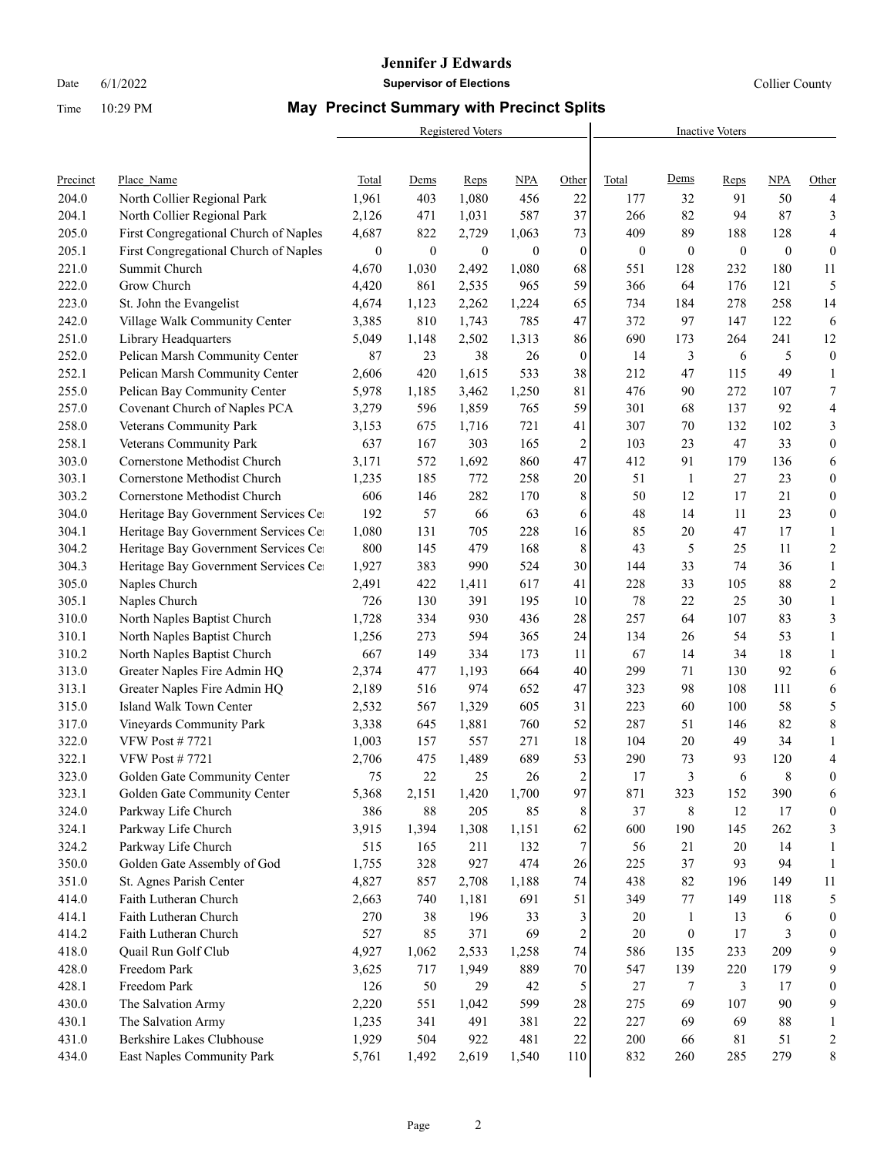#### **Jennifer J Edwards**

Date 6/1/2022 **Supervisor of Elections Supervisor of Elections** Collier County

# Time 10:29 PM **May Precinct Summary with Precinct Splits**

|          |                                       |                  |              | Registered Voters | <b>Inactive Voters</b> |                  |              |                  |                  |              |                          |
|----------|---------------------------------------|------------------|--------------|-------------------|------------------------|------------------|--------------|------------------|------------------|--------------|--------------------------|
|          |                                       |                  |              |                   |                        |                  |              |                  |                  |              |                          |
| Precinct | Place Name                            | <b>Total</b>     | <b>Dems</b>  | Reps              | <b>NPA</b>             | Other            | Total        | Dems             | Reps             | <b>NPA</b>   | Other                    |
| 204.0    | North Collier Regional Park           | 1,961            | 403          | 1,080             | 456                    | 22               | 177          | 32               | 91               | 50           | 4                        |
| 204.1    | North Collier Regional Park           | 2,126            | 471          | 1,031             | 587                    | 37               | 266          | 82               | 94               | 87           | 3                        |
| 205.0    | First Congregational Church of Naples | 4,687            | 822          | 2,729             | 1,063                  | 73               | 409          | 89               | 188              | 128          | $\overline{4}$           |
| 205.1    | First Congregational Church of Naples | $\boldsymbol{0}$ | $\mathbf{0}$ | $\boldsymbol{0}$  | $\mathbf{0}$           | $\boldsymbol{0}$ | $\mathbf{0}$ | $\boldsymbol{0}$ | $\boldsymbol{0}$ | $\mathbf{0}$ | $\mathbf{0}$             |
| 221.0    | Summit Church                         | 4,670            | 1,030        | 2,492             | 1,080                  | 68               | 551          | 128              | 232              | 180          | 11                       |
| 222.0    | Grow Church                           | 4,420            | 861          | 2,535             | 965                    | 59               | 366          | 64               | 176              | 121          | 5                        |
| 223.0    | St. John the Evangelist               | 4,674            | 1,123        | 2,262             | 1,224                  | 65               | 734          | 184              | 278              | 258          | 14                       |
| 242.0    | Village Walk Community Center         | 3,385            | 810          | 1,743             | 785                    | 47               | 372          | 97               | 147              | 122          | 6                        |
| 251.0    | Library Headquarters                  | 5,049            | 1,148        | 2,502             | 1,313                  | 86               | 690          | 173              | 264              | 241          | 12                       |
| 252.0    | Pelican Marsh Community Center        | 87               | 23           | 38                | 26                     | $\boldsymbol{0}$ | 14           | 3                | 6                | 5            | $\boldsymbol{0}$         |
| 252.1    | Pelican Marsh Community Center        | 2,606            | 420          | 1,615             | 533                    | 38               | 212          | 47               | 115              | 49           | $\mathbf{1}$             |
| 255.0    | Pelican Bay Community Center          | 5,978            | 1,185        | 3,462             | 1,250                  | 81               | 476          | 90               | 272              | 107          | 7                        |
| 257.0    | Covenant Church of Naples PCA         | 3,279            | 596          | 1,859             | 765                    | 59               | 301          | 68               | 137              | 92           | $\overline{4}$           |
| 258.0    | Veterans Community Park               | 3,153            | 675          | 1,716             | 721                    | 41               | 307          | 70               | 132              | 102          | 3                        |
| 258.1    | Veterans Community Park               | 637              | 167          | 303               | 165                    | $\boldsymbol{2}$ | 103          | 23               | 47               | 33           | $\boldsymbol{0}$         |
| 303.0    | Cornerstone Methodist Church          | 3,171            | 572          | 1,692             | 860                    | 47               | 412          | 91               | 179              | 136          | 6                        |
| 303.1    | Cornerstone Methodist Church          | 1,235            | 185          | 772               | 258                    | 20               | 51           | $\mathbf{1}$     | 27               | 23           | $\boldsymbol{0}$         |
| 303.2    | Cornerstone Methodist Church          | 606              | 146          | 282               | 170                    | 8                | 50           | 12               | 17               | 21           | $\boldsymbol{0}$         |
| 304.0    | Heritage Bay Government Services Ce   | 192              | 57           | 66                | 63                     | 6                | 48           | 14               | 11               | 23           | $\boldsymbol{0}$         |
| 304.1    | Heritage Bay Government Services Ce   | 1,080            | 131          | 705               | 228                    | 16               | 85           | 20               | 47               | 17           | $\mathbf{1}$             |
| 304.2    | Heritage Bay Government Services Ce   | 800              | 145          | 479               | 168                    | 8                | 43           | 5                | 25               | 11           | $\mathbf{2}$             |
| 304.3    | Heritage Bay Government Services Ce   | 1,927            | 383          | 990               | 524                    | 30               | 144          | 33               | 74               | 36           | $\mathbf{1}$             |
| 305.0    | Naples Church                         | 2,491            | 422          | 1,411             | 617                    | 41               | 228          | 33               | 105              | 88           | $\sqrt{2}$               |
| 305.1    | Naples Church                         | 726              | 130          | 391               | 195                    | 10               | 78           | $22\,$           | 25               | 30           | $\mathbf{1}$             |
| 310.0    | North Naples Baptist Church           | 1,728            | 334          | 930               | 436                    | $28\,$           | 257          | 64               | 107              | 83           | 3                        |
| 310.1    | North Naples Baptist Church           | 1,256            | 273          | 594               | 365                    | 24               | 134          | 26               | 54               | 53           | $\mathbf{1}$             |
| 310.2    | North Naples Baptist Church           | 667              | 149          | 334               | 173                    | 11               | 67           | 14               | 34               | 18           | $\mathbf{1}$             |
| 313.0    | Greater Naples Fire Admin HQ          | 2,374            | 477          | 1,193             | 664                    | 40               | 299          | 71               | 130              | 92           | 6                        |
| 313.1    | Greater Naples Fire Admin HQ          | 2,189            | 516          | 974               | 652                    | 47               | 323          | 98               | 108              | 111          | 6                        |
| 315.0    | Island Walk Town Center               | 2,532            | 567          | 1,329             | 605                    | 31               | 223          | 60               | 100              | 58           | 5                        |
| 317.0    | Vineyards Community Park              | 3,338            | 645          | 1,881             | 760                    | 52               | 287          | 51               | 146              | 82           | $\,$ 8 $\,$              |
| 322.0    | <b>VFW Post #7721</b>                 | 1,003            | 157          | 557               | 271                    | 18               | 104          | 20               | 49               | 34           | $\mathbf{1}$             |
| 322.1    | <b>VFW Post #7721</b>                 | 2,706            | 475          | 1,489             | 689                    | 53               | 290          | 73               | 93               | 120          | $\overline{\mathcal{A}}$ |
| 323.0    | Golden Gate Community Center          | 75               | 22           | 25                | 26                     | $\overline{2}$   | 17           | 3                | 6                | 8            | $\mathbf{0}$             |
| 323.1    | Golden Gate Community Center          | 5,368            | 2,151        | 1,420             | 1,700                  | 97               | 871          | 323              | 152              | 390          | 6                        |
| 324.0    | Parkway Life Church                   | 386              | $88\,$       | 205               | 85                     | 8                | 37           | 8                | 12               | 17           | $\boldsymbol{0}$         |
| 324.1    | Parkway Life Church                   | 3,915            | 1,394        | 1,308             | 1,151                  | 62               | 600          | 190              | 145              | 262          | 3                        |
| 324.2    | Parkway Life Church                   | 515              | 165          | 211               | 132                    | 7                | 56           | 21               | 20               | 14           | $\mathbf{1}$             |
| 350.0    | Golden Gate Assembly of God           | 1,755            | 328          | 927               | 474                    | 26               | 225          | 37               | 93               | 94           | 1                        |
| 351.0    | St. Agnes Parish Center               | 4,827            | 857          | 2,708             | 1,188                  | 74               | 438          | $82\,$           | 196              | 149          | 11                       |
| 414.0    | Faith Lutheran Church                 | 2,663            | 740          | 1,181             | 691                    | 51               | 349          | 77               | 149              | 118          | 5                        |
| 414.1    | Faith Lutheran Church                 | 270              | 38           | 196               | 33                     | 3                | 20           | $\mathbf{1}$     | 13               | 6            | $\boldsymbol{0}$         |
| 414.2    | Faith Lutheran Church                 | 527              | 85           | 371               | 69                     | $\boldsymbol{2}$ | 20           | $\boldsymbol{0}$ | 17               | 3            | $\boldsymbol{0}$         |
| 418.0    | Quail Run Golf Club                   | 4,927            | 1,062        | 2,533             | 1,258                  | 74               | 586          | 135              | 233              | 209          | 9                        |
| 428.0    | Freedom Park                          | 3,625            | 717          | 1,949             | 889                    | $70\,$           | 547          | 139              | 220              | 179          | 9                        |
| 428.1    | Freedom Park                          | 126              | 50           | 29                | 42                     | 5                | $27\,$       | 7                | 3                | 17           | $\boldsymbol{0}$         |
| 430.0    | The Salvation Army                    | 2,220            | 551          | 1,042             | 599                    | 28               | 275          | 69               | 107              | 90           | 9                        |
| 430.1    | The Salvation Army                    | 1,235            | 341          | 491               | 381                    | 22               | 227          | 69               | 69               | $88\,$       | $\mathbf{1}$             |
| 431.0    | Berkshire Lakes Clubhouse             | 1,929            | 504          | 922               | 481                    | $22\,$           | $200\,$      | 66               | $8\sqrt{1}$      | 51           | $\overline{\mathbf{c}}$  |
| 434.0    | East Naples Community Park            | 5,761            | 1,492        | 2,619             | 1,540                  | 110              | 832          | 260              | 285              | 279          | $\,$ 8 $\,$              |
|          |                                       |                  |              |                   |                        |                  |              |                  |                  |              |                          |